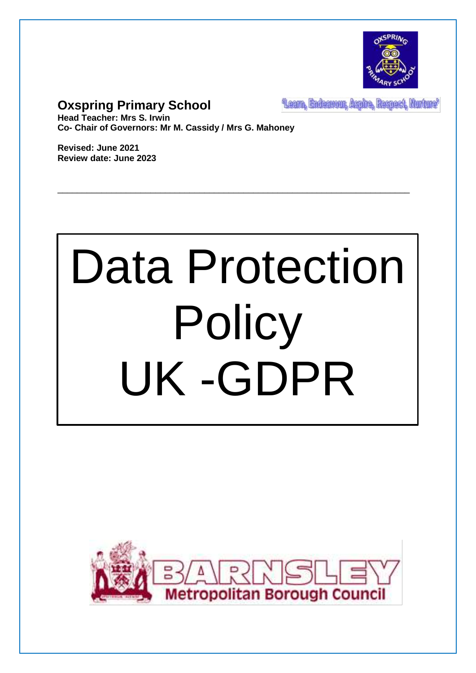

# **Oxspring Primary School**

Learn, Endeavour, Aspire, Respect, Nurture'

**Head Teacher: Mrs S. Irwin Co- Chair of Governors: Mr M. Cassidy / Mrs G. Mahoney**

**Revised: June 2021 Review date: June 2023**

# Data Protection **Policy** UK -GDPR

\_\_\_\_\_\_\_\_\_\_\_\_\_\_\_\_\_\_\_\_\_\_\_\_\_\_\_\_\_\_\_\_\_\_\_\_\_\_\_\_\_\_\_\_\_\_\_\_\_\_\_\_\_\_\_\_\_\_\_\_\_\_\_\_\_\_\_\_\_\_\_\_

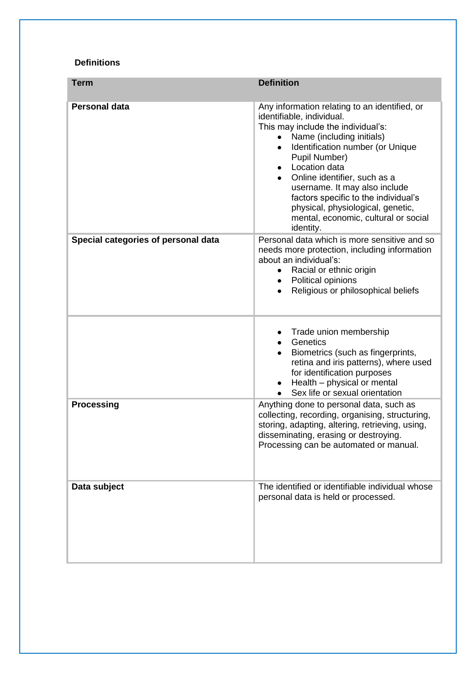#### **Definitions**

| <b>Term</b>                         | <b>Definition</b>                                                                                                                                                                                                                                                                                                                                                                                                                                |
|-------------------------------------|--------------------------------------------------------------------------------------------------------------------------------------------------------------------------------------------------------------------------------------------------------------------------------------------------------------------------------------------------------------------------------------------------------------------------------------------------|
| <b>Personal data</b>                | Any information relating to an identified, or<br>identifiable, individual.<br>This may include the individual's:<br>Name (including initials)<br>Identification number (or Unique<br>$\bullet$<br>Pupil Number)<br>Location data<br>Online identifier, such as a<br>$\bullet$<br>username. It may also include<br>factors specific to the individual's<br>physical, physiological, genetic,<br>mental, economic, cultural or social<br>identity. |
| Special categories of personal data | Personal data which is more sensitive and so<br>needs more protection, including information<br>about an individual's:<br>Racial or ethnic origin<br>$\bullet$<br>Political opinions<br>$\bullet$<br>Religious or philosophical beliefs                                                                                                                                                                                                          |
|                                     | Trade union membership<br>Genetics<br>Biometrics (such as fingerprints,<br>$\bullet$<br>retina and iris patterns), where used<br>for identification purposes<br>Health - physical or mental<br>$\bullet$<br>Sex life or sexual orientation<br>$\bullet$                                                                                                                                                                                          |
| <b>Processing</b>                   | Anything done to personal data, such as<br>collecting, recording, organising, structuring,<br>storing, adapting, altering, retrieving, using,<br>disseminating, erasing or destroying.<br>Processing can be automated or manual.                                                                                                                                                                                                                 |
| Data subject                        | The identified or identifiable individual whose<br>personal data is held or processed.                                                                                                                                                                                                                                                                                                                                                           |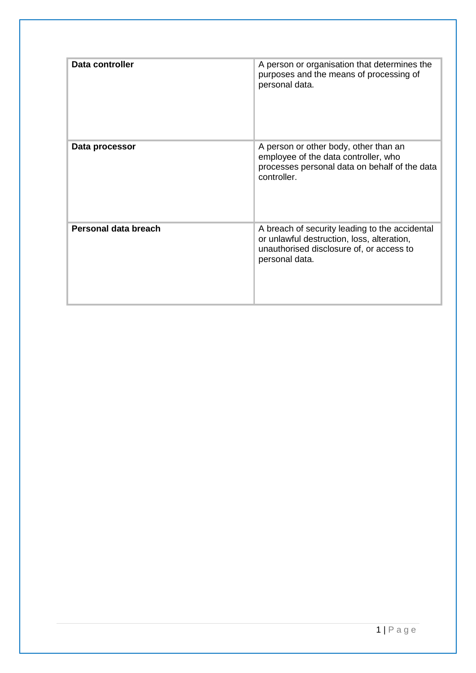| Data controller      | A person or organisation that determines the<br>purposes and the means of processing of<br>personal data.                                                  |
|----------------------|------------------------------------------------------------------------------------------------------------------------------------------------------------|
| Data processor       | A person or other body, other than an<br>employee of the data controller, who<br>processes personal data on behalf of the data<br>controller.              |
| Personal data breach | A breach of security leading to the accidental<br>or unlawful destruction, loss, alteration,<br>unauthorised disclosure of, or access to<br>personal data. |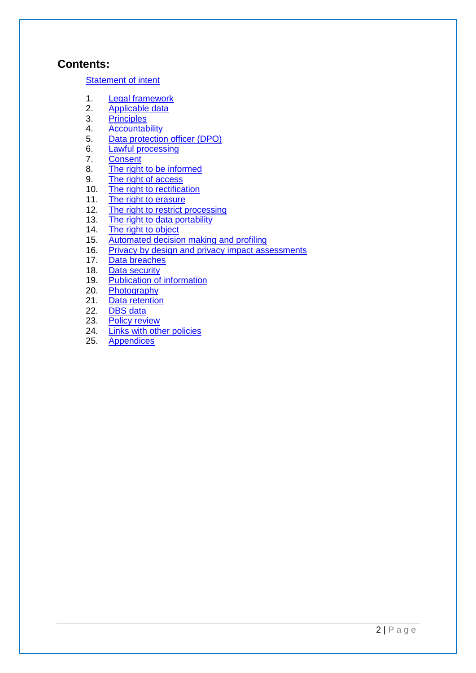#### **Contents:**

#### [Statement of intent](#page-4-0)

- 1. [Legal framework](#page-5-0)
- 2. [Applicable data](#page-5-1)
- 3. [Principles](#page-5-2)
- 4. [Accountability](#page-6-0)
- 5. [Data protection officer \(DPO\)](#page-8-0)
- 6. [Lawful processing](#page-8-1)
- 7. [Consent](#page-10-0)
- 8. [The right to be informed](#page-10-1)<br>9. The right of access
- [The right of access](#page-11-0)
- 10. [The right to rectification](#page-12-0)
- 11. [The right to erasure](#page-12-1)
- 12. [The right to restrict processing](#page-13-0)
- 13. [The right to data portability](#page-14-0)
- 14. [The right to object](#page-14-1)
- 15. [Automated decision making and profiling](#page-15-0)
- 16. [Privacy by design and privacy impact assessments](#page-16-0)
- 17. [Data breaches](#page-16-1)
- 18. [Data security](#page-17-0)
- 19. [Publication of information](#page-18-0)
- 20. [Photography](#page-19-0)
- 21. [Data retention](#page-19-1)
- 22. [DBS data](#page-19-2)
- 23. [Policy review](#page-20-0)
- 24. Links with other policies
- 25. Appendices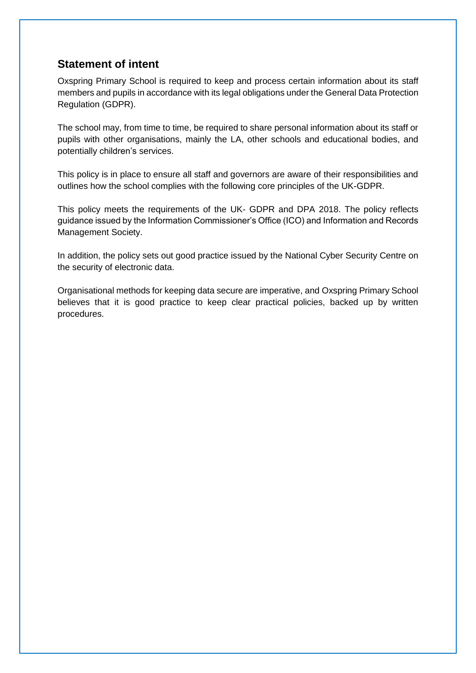## <span id="page-4-0"></span>**Statement of intent**

Oxspring Primary School is required to keep and process certain information about its staff members and pupils in accordance with its legal obligations under the General Data Protection Regulation (GDPR).

The school may, from time to time, be required to share personal information about its staff or pupils with other organisations, mainly the LA, other schools and educational bodies, and potentially children's services.

This policy is in place to ensure all staff and governors are aware of their responsibilities and outlines how the school complies with the following core principles of the UK-GDPR.

This policy meets the requirements of the UK- GDPR and DPA 2018. The policy reflects guidance issued by the Information Commissioner's Office (ICO) and Information and Records Management Society.

In addition, the policy sets out good practice issued by the National Cyber Security Centre on the security of electronic data.

Organisational methods for keeping data secure are imperative, and Oxspring Primary School believes that it is good practice to keep clear practical policies, backed up by written procedures.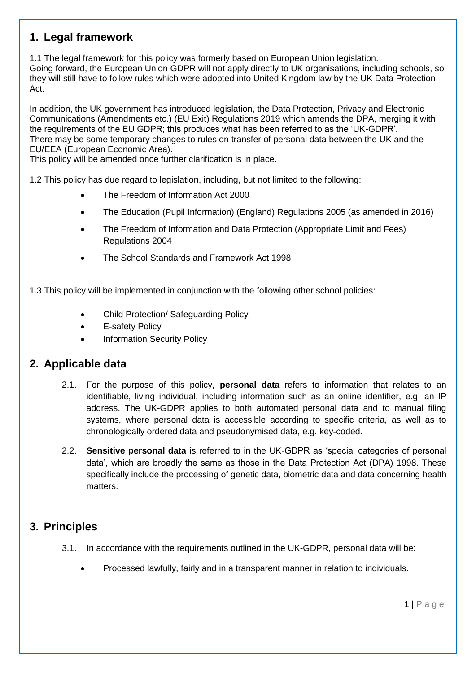# <span id="page-5-0"></span>**1. Legal framework**

1.1 The legal framework for this policy was formerly based on European Union legislation. Going forward, the European Union GDPR will not apply directly to UK organisations, including schools, so they will still have to follow rules which were adopted into United Kingdom law by the UK Data Protection Act.

In addition, the UK government has introduced legislation, the Data Protection, Privacy and Electronic Communications (Amendments etc.) (EU Exit) Regulations 2019 which amends the DPA, merging it with the requirements of the EU GDPR; this produces what has been referred to as the 'UK-GDPR'. There may be some temporary changes to rules on transfer of personal data between the UK and the EU/EEA (European Economic Area).

This policy will be amended once further clarification is in place.

1.2 This policy has due regard to legislation, including, but not limited to the following:

- The Freedom of Information Act 2000
- The Education (Pupil Information) (England) Regulations 2005 (as amended in 2016)
- The Freedom of Information and Data Protection (Appropriate Limit and Fees) Regulations 2004
- The School Standards and Framework Act 1998

1.3 This policy will be implemented in conjunction with the following other school policies:

- Child Protection/ Safeguarding Policy
- E-safety Policy
- Information Security Policy

#### <span id="page-5-1"></span>**2. Applicable data**

- 2.1. For the purpose of this policy, **personal data** refers to information that relates to an identifiable, living individual, including information such as an online identifier, e.g. an IP address. The UK-GDPR applies to both automated personal data and to manual filing systems, where personal data is accessible according to specific criteria, as well as to chronologically ordered data and pseudonymised data, e.g. key-coded.
- 2.2. **Sensitive personal data** is referred to in the UK-GDPR as 'special categories of personal data', which are broadly the same as those in the Data Protection Act (DPA) 1998. These specifically include the processing of genetic data, biometric data and data concerning health matters.

# <span id="page-5-2"></span>**3. Principles**

- 3.1. In accordance with the requirements outlined in the UK-GDPR, personal data will be:
	- Processed lawfully, fairly and in a transparent manner in relation to individuals.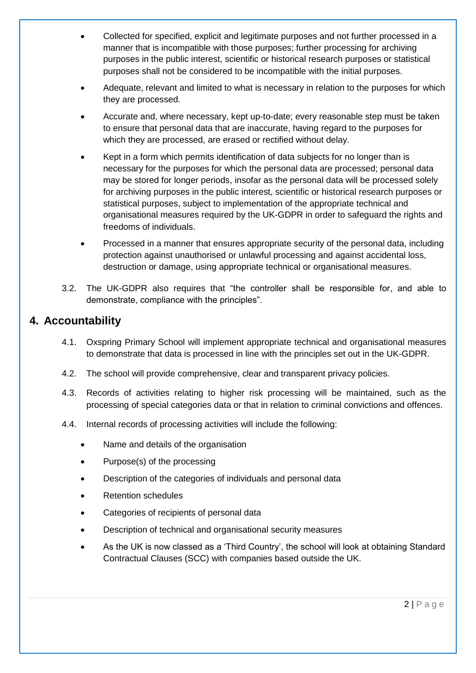- Collected for specified, explicit and legitimate purposes and not further processed in a manner that is incompatible with those purposes; further processing for archiving purposes in the public interest, scientific or historical research purposes or statistical purposes shall not be considered to be incompatible with the initial purposes.
- Adequate, relevant and limited to what is necessary in relation to the purposes for which they are processed.
- Accurate and, where necessary, kept up-to-date; every reasonable step must be taken to ensure that personal data that are inaccurate, having regard to the purposes for which they are processed, are erased or rectified without delay.
- Kept in a form which permits identification of data subjects for no longer than is necessary for the purposes for which the personal data are processed; personal data may be stored for longer periods, insofar as the personal data will be processed solely for archiving purposes in the public interest, scientific or historical research purposes or statistical purposes, subject to implementation of the appropriate technical and organisational measures required by the UK-GDPR in order to safeguard the rights and freedoms of individuals.
- Processed in a manner that ensures appropriate security of the personal data, including protection against unauthorised or unlawful processing and against accidental loss, destruction or damage, using appropriate technical or organisational measures.
- 3.2. The UK-GDPR also requires that "the controller shall be responsible for, and able to demonstrate, compliance with the principles".

# <span id="page-6-0"></span>**4. Accountability**

- 4.1. Oxspring Primary School will implement appropriate technical and organisational measures to demonstrate that data is processed in line with the principles set out in the UK-GDPR.
- 4.2. The school will provide comprehensive, clear and transparent privacy policies.
- 4.3. Records of activities relating to higher risk processing will be maintained, such as the processing of special categories data or that in relation to criminal convictions and offences.
- 4.4. Internal records of processing activities will include the following:
	- Name and details of the organisation
	- Purpose(s) of the processing
	- Description of the categories of individuals and personal data
	- Retention schedules
	- Categories of recipients of personal data
	- Description of technical and organisational security measures
	- As the UK is now classed as a 'Third Country', the school will look at obtaining Standard Contractual Clauses (SCC) with companies based outside the UK.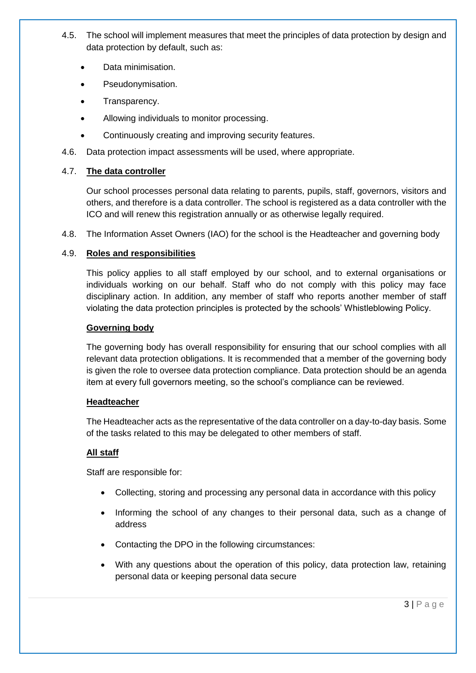- 4.5. The school will implement measures that meet the principles of data protection by design and data protection by default, such as:
	- Data minimisation.
	- Pseudonymisation.
	- Transparency.
	- Allowing individuals to monitor processing.
	- Continuously creating and improving security features.
- 4.6. Data protection impact assessments will be used, where appropriate.

#### 4.7. **The data controller**

Our school processes personal data relating to parents, pupils, staff, governors, visitors and others, and therefore is a data controller. The school is registered as a data controller with the ICO and will renew this registration annually or as otherwise legally required.

4.8. The Information Asset Owners (IAO) for the school is the Headteacher and governing body

#### 4.9. **Roles and responsibilities**

This policy applies to all staff employed by our school, and to external organisations or individuals working on our behalf. Staff who do not comply with this policy may face disciplinary action. In addition, any member of staff who reports another member of staff violating the data protection principles is protected by the schools' Whistleblowing Policy.

#### **Governing body**

The governing body has overall responsibility for ensuring that our school complies with all relevant data protection obligations. It is recommended that a member of the governing body is given the role to oversee data protection compliance. Data protection should be an agenda item at every full governors meeting, so the school's compliance can be reviewed.

#### **Headteacher**

The Headteacher acts as the representative of the data controller on a day-to-day basis. Some of the tasks related to this may be delegated to other members of staff.

#### **All staff**

Staff are responsible for:

- Collecting, storing and processing any personal data in accordance with this policy
- Informing the school of any changes to their personal data, such as a change of address
- Contacting the DPO in the following circumstances:
- With any questions about the operation of this policy, data protection law, retaining personal data or keeping personal data secure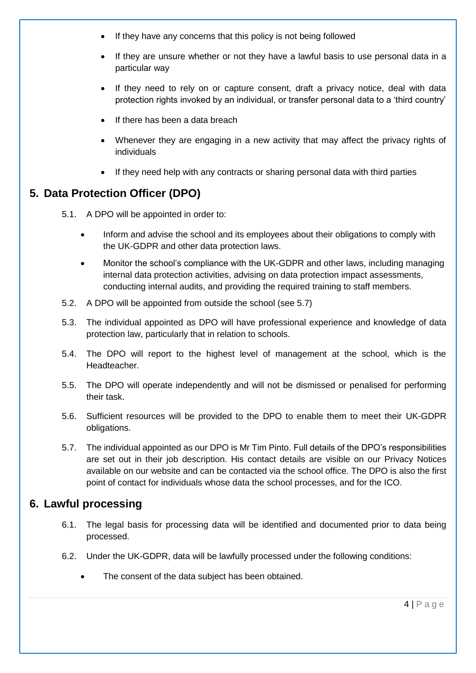- If they have any concerns that this policy is not being followed
- If they are unsure whether or not they have a lawful basis to use personal data in a particular way
- If they need to rely on or capture consent, draft a privacy notice, deal with data protection rights invoked by an individual, or transfer personal data to a 'third country'
- If there has been a data breach
- Whenever they are engaging in a new activity that may affect the privacy rights of individuals
- If they need help with any contracts or sharing personal data with third parties

# <span id="page-8-0"></span>**5. Data Protection Officer (DPO)**

- 5.1. A DPO will be appointed in order to:
	- Inform and advise the school and its employees about their obligations to comply with the UK-GDPR and other data protection laws.
	- Monitor the school's compliance with the UK-GDPR and other laws, including managing internal data protection activities, advising on data protection impact assessments, conducting internal audits, and providing the required training to staff members.
- 5.2. A DPO will be appointed from outside the school (see 5.7)
- 5.3. The individual appointed as DPO will have professional experience and knowledge of data protection law, particularly that in relation to schools.
- 5.4. The DPO will report to the highest level of management at the school, which is the Headteacher.
- 5.5. The DPO will operate independently and will not be dismissed or penalised for performing their task.
- 5.6. Sufficient resources will be provided to the DPO to enable them to meet their UK-GDPR obligations.
- 5.7. The individual appointed as our DPO is Mr Tim Pinto. Full details of the DPO's responsibilities are set out in their job description. His contact details are visible on our Privacy Notices available on our website and can be contacted via the school office. The DPO is also the first point of contact for individuals whose data the school processes, and for the ICO.

# <span id="page-8-1"></span>**6. Lawful processing**

- 6.1. The legal basis for processing data will be identified and documented prior to data being processed.
- 6.2. Under the UK-GDPR, data will be lawfully processed under the following conditions:
	- The consent of the data subject has been obtained.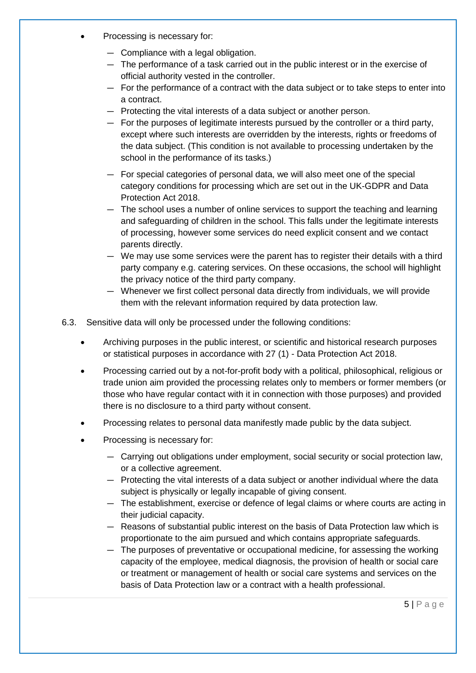- Processing is necessary for:
	- Compliance with a legal obligation.
	- The performance of a task carried out in the public interest or in the exercise of official authority vested in the controller.
	- For the performance of a contract with the data subject or to take steps to enter into a contract.
	- Protecting the vital interests of a data subject or another person.
	- For the purposes of legitimate interests pursued by the controller or a third party, except where such interests are overridden by the interests, rights or freedoms of the data subject. (This condition is not available to processing undertaken by the school in the performance of its tasks.)
	- For special categories of personal data, we will also meet one of the special category conditions for processing which are set out in the UK-GDPR and Data Protection Act 2018.
	- The school uses a number of online services to support the teaching and learning and safeguarding of children in the school. This falls under the legitimate interests of processing, however some services do need explicit consent and we contact parents directly.
	- We may use some services were the parent has to register their details with a third party company e.g. catering services. On these occasions, the school will highlight the privacy notice of the third party company.
	- Whenever we first collect personal data directly from individuals, we will provide them with the relevant information required by data protection law.
- 6.3. Sensitive data will only be processed under the following conditions:
	- Archiving purposes in the public interest, or scientific and historical research purposes or statistical purposes in accordance with 27 (1) - Data Protection Act 2018.
	- Processing carried out by a not-for-profit body with a political, philosophical, religious or trade union aim provided the processing relates only to members or former members (or those who have regular contact with it in connection with those purposes) and provided there is no disclosure to a third party without consent.
	- Processing relates to personal data manifestly made public by the data subject.
	- Processing is necessary for:
		- Carrying out obligations under employment, social security or social protection law, or a collective agreement.
		- Protecting the vital interests of a data subject or another individual where the data subject is physically or legally incapable of giving consent.
		- The establishment, exercise or defence of legal claims or where courts are acting in their judicial capacity.
		- Reasons of substantial public interest on the basis of Data Protection law which is proportionate to the aim pursued and which contains appropriate safeguards.
		- The purposes of preventative or occupational medicine, for assessing the working capacity of the employee, medical diagnosis, the provision of health or social care or treatment or management of health or social care systems and services on the basis of Data Protection law or a contract with a health professional.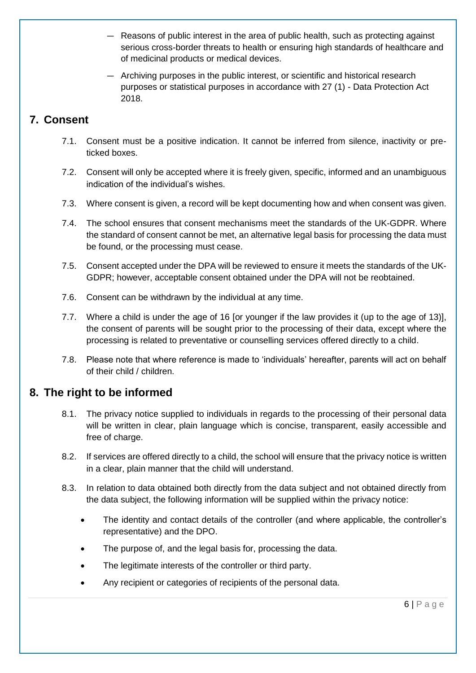- Reasons of public interest in the area of public health, such as protecting against serious cross-border threats to health or ensuring high standards of healthcare and of medicinal products or medical devices.
- Archiving purposes in the public interest, or scientific and historical research purposes or statistical purposes in accordance with 27 (1) - Data Protection Act 2018.

# <span id="page-10-0"></span>**7. Consent**

- 7.1. Consent must be a positive indication. It cannot be inferred from silence, inactivity or preticked boxes.
- 7.2. Consent will only be accepted where it is freely given, specific, informed and an unambiguous indication of the individual's wishes.
- 7.3. Where consent is given, a record will be kept documenting how and when consent was given.
- 7.4. The school ensures that consent mechanisms meet the standards of the UK-GDPR. Where the standard of consent cannot be met, an alternative legal basis for processing the data must be found, or the processing must cease.
- 7.5. Consent accepted under the DPA will be reviewed to ensure it meets the standards of the UK-GDPR; however, acceptable consent obtained under the DPA will not be reobtained.
- 7.6. Consent can be withdrawn by the individual at any time.
- 7.7. Where a child is under the age of 16 [or younger if the law provides it (up to the age of 13)], the consent of parents will be sought prior to the processing of their data, except where the processing is related to preventative or counselling services offered directly to a child.
- 7.8. Please note that where reference is made to 'individuals' hereafter, parents will act on behalf of their child / children.

# <span id="page-10-1"></span>**8. The right to be informed**

- 8.1. The privacy notice supplied to individuals in regards to the processing of their personal data will be written in clear, plain language which is concise, transparent, easily accessible and free of charge.
- 8.2. If services are offered directly to a child, the school will ensure that the privacy notice is written in a clear, plain manner that the child will understand.
- 8.3. In relation to data obtained both directly from the data subject and not obtained directly from the data subject, the following information will be supplied within the privacy notice:
	- The identity and contact details of the controller (and where applicable, the controller's representative) and the DPO.
	- The purpose of, and the legal basis for, processing the data.
	- The legitimate interests of the controller or third party.
	- Any recipient or categories of recipients of the personal data.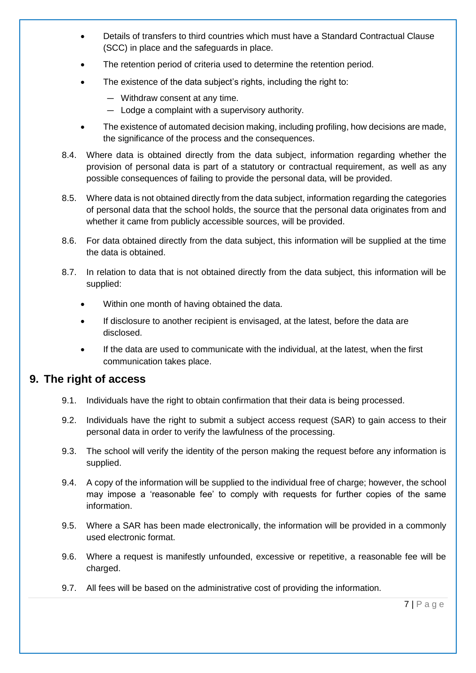- Details of transfers to third countries which must have a Standard Contractual Clause (SCC) in place and the safeguards in place.
- The retention period of criteria used to determine the retention period.
- The existence of the data subject's rights, including the right to:
	- Withdraw consent at any time.
	- Lodge a complaint with a supervisory authority.
- The existence of automated decision making, including profiling, how decisions are made, the significance of the process and the consequences.
- 8.4. Where data is obtained directly from the data subject, information regarding whether the provision of personal data is part of a statutory or contractual requirement, as well as any possible consequences of failing to provide the personal data, will be provided.
- 8.5. Where data is not obtained directly from the data subject, information regarding the categories of personal data that the school holds, the source that the personal data originates from and whether it came from publicly accessible sources, will be provided.
- 8.6. For data obtained directly from the data subject, this information will be supplied at the time the data is obtained.
- 8.7. In relation to data that is not obtained directly from the data subject, this information will be supplied:
	- Within one month of having obtained the data.
	- If disclosure to another recipient is envisaged, at the latest, before the data are disclosed.
	- If the data are used to communicate with the individual, at the latest, when the first communication takes place.

## <span id="page-11-0"></span>**9. The right of access**

- 9.1. Individuals have the right to obtain confirmation that their data is being processed.
- 9.2. Individuals have the right to submit a subject access request (SAR) to gain access to their personal data in order to verify the lawfulness of the processing.
- 9.3. The school will verify the identity of the person making the request before any information is supplied.
- 9.4. A copy of the information will be supplied to the individual free of charge; however, the school may impose a 'reasonable fee' to comply with requests for further copies of the same information.
- 9.5. Where a SAR has been made electronically, the information will be provided in a commonly used electronic format.
- 9.6. Where a request is manifestly unfounded, excessive or repetitive, a reasonable fee will be charged.
- 9.7. All fees will be based on the administrative cost of providing the information.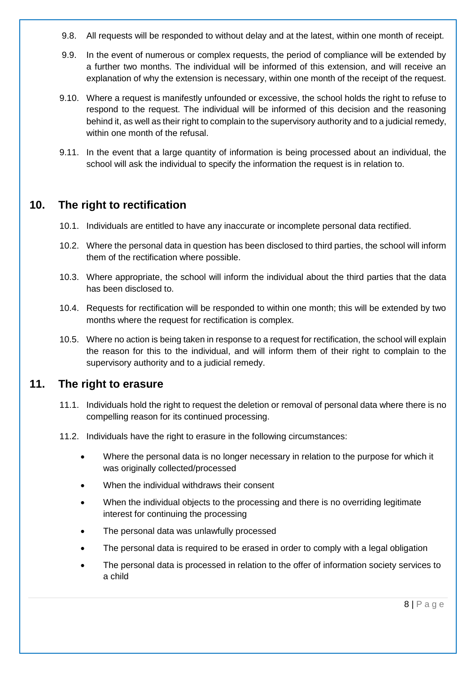- 9.8. All requests will be responded to without delay and at the latest, within one month of receipt.
- 9.9. In the event of numerous or complex requests, the period of compliance will be extended by a further two months. The individual will be informed of this extension, and will receive an explanation of why the extension is necessary, within one month of the receipt of the request.
- 9.10. Where a request is manifestly unfounded or excessive, the school holds the right to refuse to respond to the request. The individual will be informed of this decision and the reasoning behind it, as well as their right to complain to the supervisory authority and to a judicial remedy, within one month of the refusal.
- 9.11. In the event that a large quantity of information is being processed about an individual, the school will ask the individual to specify the information the request is in relation to.

## <span id="page-12-0"></span>**10. The right to rectification**

- 10.1. Individuals are entitled to have any inaccurate or incomplete personal data rectified.
- 10.2. Where the personal data in question has been disclosed to third parties, the school will inform them of the rectification where possible.
- 10.3. Where appropriate, the school will inform the individual about the third parties that the data has been disclosed to.
- 10.4. Requests for rectification will be responded to within one month; this will be extended by two months where the request for rectification is complex.
- 10.5. Where no action is being taken in response to a request for rectification, the school will explain the reason for this to the individual, and will inform them of their right to complain to the supervisory authority and to a judicial remedy.

#### <span id="page-12-1"></span>**11. The right to erasure**

- 11.1. Individuals hold the right to request the deletion or removal of personal data where there is no compelling reason for its continued processing.
- 11.2. Individuals have the right to erasure in the following circumstances:
	- Where the personal data is no longer necessary in relation to the purpose for which it was originally collected/processed
	- When the individual withdraws their consent
	- When the individual objects to the processing and there is no overriding legitimate interest for continuing the processing
	- The personal data was unlawfully processed
	- The personal data is required to be erased in order to comply with a legal obligation
	- The personal data is processed in relation to the offer of information society services to a child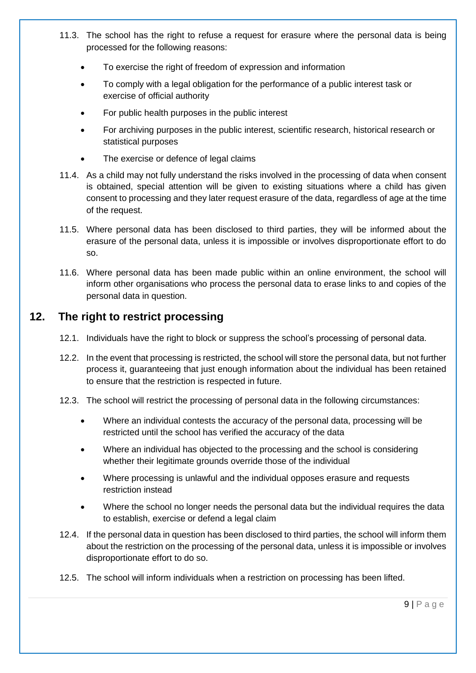- 11.3. The school has the right to refuse a request for erasure where the personal data is being processed for the following reasons:
	- To exercise the right of freedom of expression and information
	- To comply with a legal obligation for the performance of a public interest task or exercise of official authority
	- For public health purposes in the public interest
	- For archiving purposes in the public interest, scientific research, historical research or statistical purposes
	- The exercise or defence of legal claims
- 11.4. As a child may not fully understand the risks involved in the processing of data when consent is obtained, special attention will be given to existing situations where a child has given consent to processing and they later request erasure of the data, regardless of age at the time of the request.
- 11.5. Where personal data has been disclosed to third parties, they will be informed about the erasure of the personal data, unless it is impossible or involves disproportionate effort to do so.
- 11.6. Where personal data has been made public within an online environment, the school will inform other organisations who process the personal data to erase links to and copies of the personal data in question.

# <span id="page-13-0"></span>**12. The right to restrict processing**

- 12.1. Individuals have the right to block or suppress the school's processing of personal data.
- 12.2. In the event that processing is restricted, the school will store the personal data, but not further process it, guaranteeing that just enough information about the individual has been retained to ensure that the restriction is respected in future.
- 12.3. The school will restrict the processing of personal data in the following circumstances:
	- Where an individual contests the accuracy of the personal data, processing will be restricted until the school has verified the accuracy of the data
	- Where an individual has objected to the processing and the school is considering whether their legitimate grounds override those of the individual
	- Where processing is unlawful and the individual opposes erasure and requests restriction instead
	- Where the school no longer needs the personal data but the individual requires the data to establish, exercise or defend a legal claim
- 12.4. If the personal data in question has been disclosed to third parties, the school will inform them about the restriction on the processing of the personal data, unless it is impossible or involves disproportionate effort to do so.
- 12.5. The school will inform individuals when a restriction on processing has been lifted.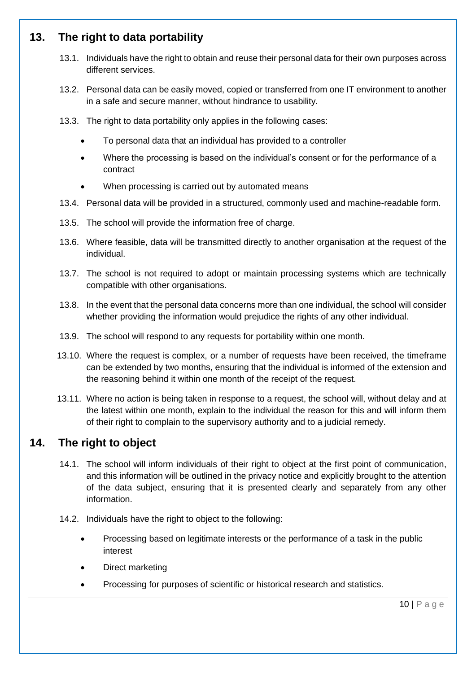# <span id="page-14-0"></span>**13. The right to data portability**

- 13.1. Individuals have the right to obtain and reuse their personal data for their own purposes across different services.
- 13.2. Personal data can be easily moved, copied or transferred from one IT environment to another in a safe and secure manner, without hindrance to usability.
- 13.3. The right to data portability only applies in the following cases:
	- To personal data that an individual has provided to a controller
	- Where the processing is based on the individual's consent or for the performance of a contract
	- When processing is carried out by automated means
- 13.4. Personal data will be provided in a structured, commonly used and machine-readable form.
- 13.5. The school will provide the information free of charge.
- 13.6. Where feasible, data will be transmitted directly to another organisation at the request of the individual.
- 13.7. The school is not required to adopt or maintain processing systems which are technically compatible with other organisations.
- 13.8. In the event that the personal data concerns more than one individual, the school will consider whether providing the information would prejudice the rights of any other individual.
- 13.9. The school will respond to any requests for portability within one month.
- 13.10. Where the request is complex, or a number of requests have been received, the timeframe can be extended by two months, ensuring that the individual is informed of the extension and the reasoning behind it within one month of the receipt of the request.
- 13.11. Where no action is being taken in response to a request, the school will, without delay and at the latest within one month, explain to the individual the reason for this and will inform them of their right to complain to the supervisory authority and to a judicial remedy.

## <span id="page-14-1"></span>**14. The right to object**

- 14.1. The school will inform individuals of their right to object at the first point of communication, and this information will be outlined in the privacy notice and explicitly brought to the attention of the data subject, ensuring that it is presented clearly and separately from any other information.
- 14.2. Individuals have the right to object to the following:
	- Processing based on legitimate interests or the performance of a task in the public interest
	- Direct marketing
	- Processing for purposes of scientific or historical research and statistics.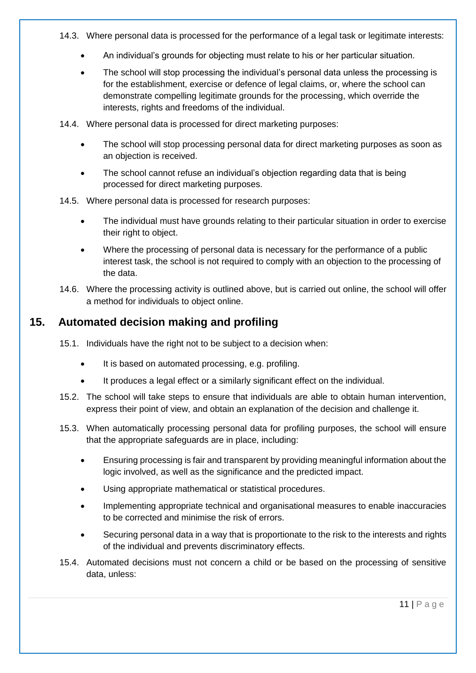- 14.3. Where personal data is processed for the performance of a legal task or legitimate interests:
	- An individual's grounds for objecting must relate to his or her particular situation.
	- The school will stop processing the individual's personal data unless the processing is for the establishment, exercise or defence of legal claims, or, where the school can demonstrate compelling legitimate grounds for the processing, which override the interests, rights and freedoms of the individual.
- 14.4. Where personal data is processed for direct marketing purposes:
	- The school will stop processing personal data for direct marketing purposes as soon as an objection is received.
	- The school cannot refuse an individual's objection regarding data that is being processed for direct marketing purposes.
- 14.5. Where personal data is processed for research purposes:
	- The individual must have grounds relating to their particular situation in order to exercise their right to object.
	- Where the processing of personal data is necessary for the performance of a public interest task, the school is not required to comply with an objection to the processing of the data.
- 14.6. Where the processing activity is outlined above, but is carried out online, the school will offer a method for individuals to object online.

# <span id="page-15-0"></span>**15. Automated decision making and profiling**

- 15.1. Individuals have the right not to be subject to a decision when:
	- It is based on automated processing, e.g. profiling.
	- It produces a legal effect or a similarly significant effect on the individual.
- 15.2. The school will take steps to ensure that individuals are able to obtain human intervention, express their point of view, and obtain an explanation of the decision and challenge it.
- 15.3. When automatically processing personal data for profiling purposes, the school will ensure that the appropriate safeguards are in place, including:
	- Ensuring processing is fair and transparent by providing meaningful information about the logic involved, as well as the significance and the predicted impact.
	- Using appropriate mathematical or statistical procedures.
	- Implementing appropriate technical and organisational measures to enable inaccuracies to be corrected and minimise the risk of errors.
	- Securing personal data in a way that is proportionate to the risk to the interests and rights of the individual and prevents discriminatory effects.
- 15.4. Automated decisions must not concern a child or be based on the processing of sensitive data, unless: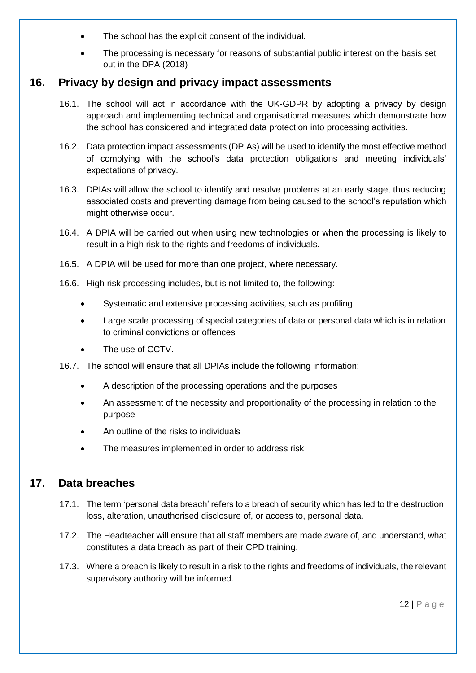- The school has the explicit consent of the individual.
- The processing is necessary for reasons of substantial public interest on the basis set out in the DPA (2018)

## <span id="page-16-0"></span>**16. Privacy by design and privacy impact assessments**

- 16.1. The school will act in accordance with the UK-GDPR by adopting a privacy by design approach and implementing technical and organisational measures which demonstrate how the school has considered and integrated data protection into processing activities.
- 16.2. Data protection impact assessments (DPIAs) will be used to identify the most effective method of complying with the school's data protection obligations and meeting individuals' expectations of privacy.
- 16.3. DPIAs will allow the school to identify and resolve problems at an early stage, thus reducing associated costs and preventing damage from being caused to the school's reputation which might otherwise occur.
- 16.4. A DPIA will be carried out when using new technologies or when the processing is likely to result in a high risk to the rights and freedoms of individuals.
- 16.5. A DPIA will be used for more than one project, where necessary.
- 16.6. High risk processing includes, but is not limited to, the following:
	- Systematic and extensive processing activities, such as profiling
	- Large scale processing of special categories of data or personal data which is in relation to criminal convictions or offences
	- The use of CCTV.
- 16.7. The school will ensure that all DPIAs include the following information:
	- A description of the processing operations and the purposes
	- An assessment of the necessity and proportionality of the processing in relation to the purpose
	- An outline of the risks to individuals
	- The measures implemented in order to address risk

## <span id="page-16-1"></span>**17. Data breaches**

- 17.1. The term 'personal data breach' refers to a breach of security which has led to the destruction, loss, alteration, unauthorised disclosure of, or access to, personal data.
- 17.2. The Headteacher will ensure that all staff members are made aware of, and understand, what constitutes a data breach as part of their CPD training.
- 17.3. Where a breach is likely to result in a risk to the rights and freedoms of individuals, the relevant supervisory authority will be informed.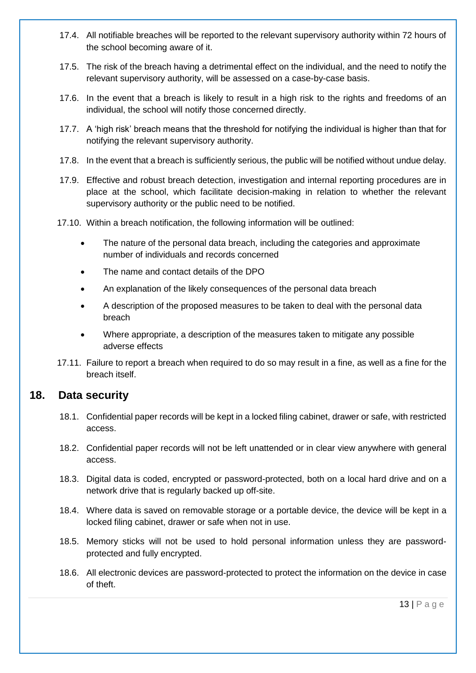- 17.4. All notifiable breaches will be reported to the relevant supervisory authority within 72 hours of the school becoming aware of it.
- 17.5. The risk of the breach having a detrimental effect on the individual, and the need to notify the relevant supervisory authority, will be assessed on a case-by-case basis.
- 17.6. In the event that a breach is likely to result in a high risk to the rights and freedoms of an individual, the school will notify those concerned directly.
- 17.7. A 'high risk' breach means that the threshold for notifying the individual is higher than that for notifying the relevant supervisory authority.
- 17.8. In the event that a breach is sufficiently serious, the public will be notified without undue delay.
- 17.9. Effective and robust breach detection, investigation and internal reporting procedures are in place at the school, which facilitate decision-making in relation to whether the relevant supervisory authority or the public need to be notified.
- 17.10. Within a breach notification, the following information will be outlined:
	- The nature of the personal data breach, including the categories and approximate number of individuals and records concerned
	- The name and contact details of the DPO
	- An explanation of the likely consequences of the personal data breach
	- A description of the proposed measures to be taken to deal with the personal data breach
	- Where appropriate, a description of the measures taken to mitigate any possible adverse effects
- 17.11. Failure to report a breach when required to do so may result in a fine, as well as a fine for the breach itself.

## <span id="page-17-0"></span>**18. Data security**

- 18.1. Confidential paper records will be kept in a locked filing cabinet, drawer or safe, with restricted access.
- 18.2. Confidential paper records will not be left unattended or in clear view anywhere with general access.
- 18.3. Digital data is coded, encrypted or password-protected, both on a local hard drive and on a network drive that is regularly backed up off-site.
- 18.4. Where data is saved on removable storage or a portable device, the device will be kept in a locked filing cabinet, drawer or safe when not in use.
- 18.5. Memory sticks will not be used to hold personal information unless they are passwordprotected and fully encrypted.
- 18.6. All electronic devices are password-protected to protect the information on the device in case of theft.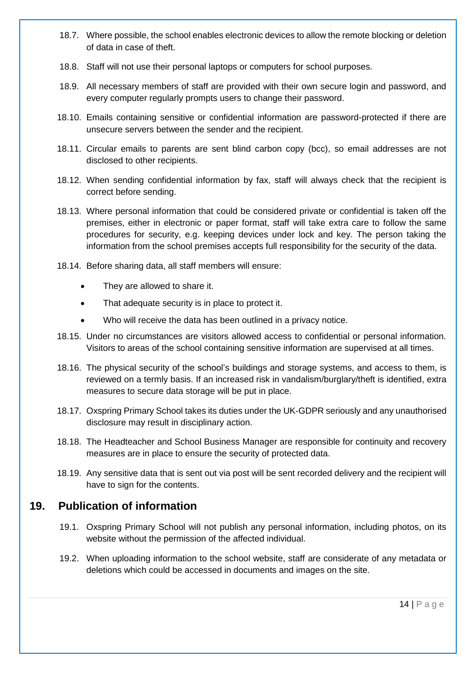- 18.7. Where possible, the school enables electronic devices to allow the remote blocking or deletion of data in case of theft.
- 18.8. Staff will not use their personal laptops or computers for school purposes.
- 18.9. All necessary members of staff are provided with their own secure login and password, and every computer regularly prompts users to change their password.
- 18.10. Emails containing sensitive or confidential information are password-protected if there are unsecure servers between the sender and the recipient.
- 18.11. Circular emails to parents are sent blind carbon copy (bcc), so email addresses are not disclosed to other recipients.
- 18.12. When sending confidential information by fax, staff will always check that the recipient is correct before sending.
- 18.13. Where personal information that could be considered private or confidential is taken off the premises, either in electronic or paper format, staff will take extra care to follow the same procedures for security, e.g. keeping devices under lock and key. The person taking the information from the school premises accepts full responsibility for the security of the data.
- 18.14. Before sharing data, all staff members will ensure:
	- They are allowed to share it.
	- That adequate security is in place to protect it.
	- Who will receive the data has been outlined in a privacy notice.
- 18.15. Under no circumstances are visitors allowed access to confidential or personal information. Visitors to areas of the school containing sensitive information are supervised at all times.
- 18.16. The physical security of the school's buildings and storage systems, and access to them, is reviewed on a termly basis. If an increased risk in vandalism/burglary/theft is identified, extra measures to secure data storage will be put in place.
- 18.17. Oxspring Primary School takes its duties under the UK-GDPR seriously and any unauthorised disclosure may result in disciplinary action.
- 18.18. The Headteacher and School Business Manager are responsible for continuity and recovery measures are in place to ensure the security of protected data.
- 18.19. Any sensitive data that is sent out via post will be sent recorded delivery and the recipient will have to sign for the contents.

## <span id="page-18-0"></span>**19. Publication of information**

- 19.1. Oxspring Primary School will not publish any personal information, including photos, on its website without the permission of the affected individual.
- 19.2. When uploading information to the school website, staff are considerate of any metadata or deletions which could be accessed in documents and images on the site.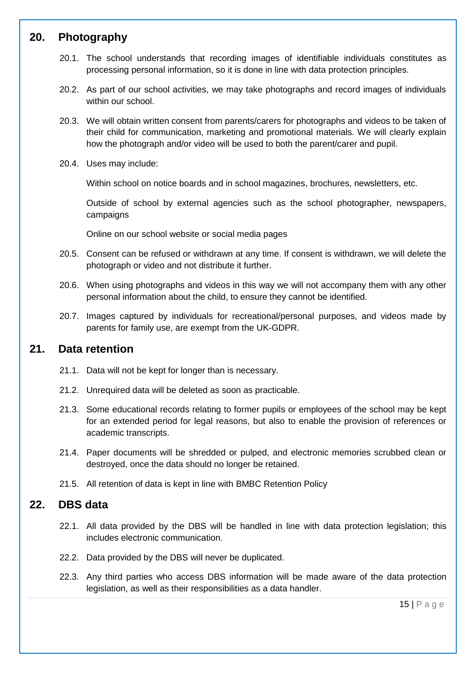# <span id="page-19-0"></span>**20. Photography**

- 20.1. The school understands that recording images of identifiable individuals constitutes as processing personal information, so it is done in line with data protection principles.
- 20.2. As part of our school activities, we may take photographs and record images of individuals within our school.
- 20.3. We will obtain written consent from parents/carers for photographs and videos to be taken of their child for communication, marketing and promotional materials. We will clearly explain how the photograph and/or video will be used to both the parent/carer and pupil.
- 20.4. Uses may include:

Within school on notice boards and in school magazines, brochures, newsletters, etc.

Outside of school by external agencies such as the school photographer, newspapers, campaigns

Online on our school website or social media pages

- 20.5. Consent can be refused or withdrawn at any time. If consent is withdrawn, we will delete the photograph or video and not distribute it further.
- 20.6. When using photographs and videos in this way we will not accompany them with any other personal information about the child, to ensure they cannot be identified.
- 20.7. Images captured by individuals for recreational/personal purposes, and videos made by parents for family use, are exempt from the UK-GDPR.

## <span id="page-19-1"></span>**21. Data retention**

- 21.1. Data will not be kept for longer than is necessary.
- 21.2. Unrequired data will be deleted as soon as practicable.
- 21.3. Some educational records relating to former pupils or employees of the school may be kept for an extended period for legal reasons, but also to enable the provision of references or academic transcripts.
- 21.4. Paper documents will be shredded or pulped, and electronic memories scrubbed clean or destroyed, once the data should no longer be retained.
- 21.5. All retention of data is kept in line with BMBC Retention Policy

## <span id="page-19-2"></span>**22. DBS data**

- 22.1. All data provided by the DBS will be handled in line with data protection legislation; this includes electronic communication.
- 22.2. Data provided by the DBS will never be duplicated.
- 22.3. Any third parties who access DBS information will be made aware of the data protection legislation, as well as their responsibilities as a data handler.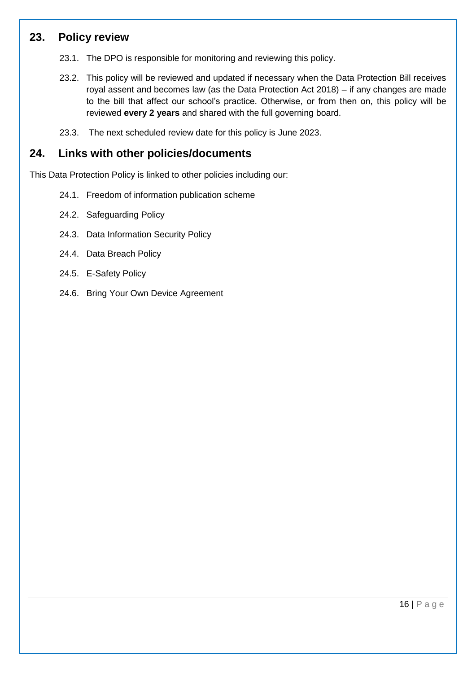## <span id="page-20-0"></span>**23. Policy review**

- 23.1. The DPO is responsible for monitoring and reviewing this policy.
- 23.2. This policy will be reviewed and updated if necessary when the Data Protection Bill receives royal assent and becomes law (as the Data Protection Act 2018) – if any changes are made to the bill that affect our school's practice. Otherwise, or from then on, this policy will be reviewed **every 2 years** and shared with the full governing board.
- 23.3. The next scheduled review date for this policy is June 2023.

# **24. Links with other policies/documents**

This Data Protection Policy is linked to other policies including our:

- 24.1. Freedom of information publication scheme
- 24.2. Safeguarding Policy
- 24.3. Data Information Security Policy
- 24.4. Data Breach Policy
- 24.5. E-Safety Policy
- 24.6. Bring Your Own Device Agreement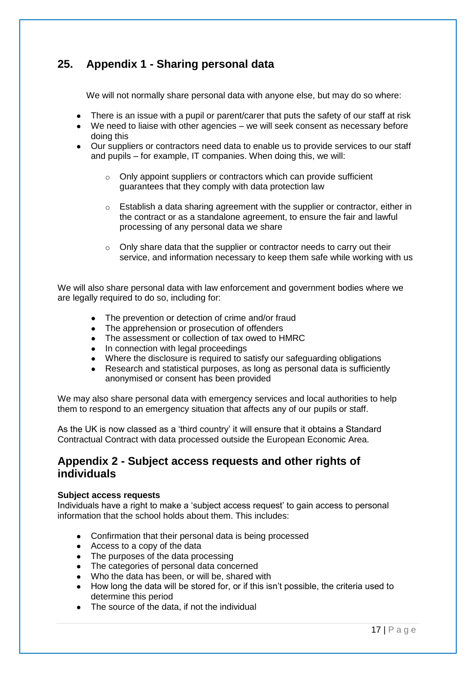# **25. Appendix 1 - Sharing personal data**

We will not normally share personal data with anyone else, but may do so where:

- There is an issue with a pupil or parent/carer that puts the safety of our staff at risk
- We need to liaise with other agencies we will seek consent as necessary before doing this
- Our suppliers or contractors need data to enable us to provide services to our staff and pupils – for example, IT companies. When doing this, we will:
	- Only appoint suppliers or contractors which can provide sufficient guarantees that they comply with data protection law
	- $\circ$  Establish a data sharing agreement with the supplier or contractor, either in the contract or as a standalone agreement, to ensure the fair and lawful processing of any personal data we share
	- o Only share data that the supplier or contractor needs to carry out their service, and information necessary to keep them safe while working with us

We will also share personal data with law enforcement and government bodies where we are legally required to do so, including for:

- The prevention or detection of crime and/or fraud
- The apprehension or prosecution of offenders
- The assessment or collection of tax owed to HMRC
- In connection with legal proceedings
- Where the disclosure is required to satisfy our safeguarding obligations
- Research and statistical purposes, as long as personal data is sufficiently anonymised or consent has been provided

We may also share personal data with emergency services and local authorities to help them to respond to an emergency situation that affects any of our pupils or staff.

As the UK is now classed as a 'third country' it will ensure that it obtains a Standard Contractual Contract with data processed outside the European Economic Area.

#### **Appendix 2 - Subject access requests and other rights of individuals**

#### **Subject access requests**

Individuals have a right to make a 'subject access request' to gain access to personal information that the school holds about them. This includes:

- Confirmation that their personal data is being processed
- Access to a copy of the data
- The purposes of the data processing
- The categories of personal data concerned
- Who the data has been, or will be, shared with
- How long the data will be stored for, or if this isn't possible, the criteria used to determine this period
- The source of the data, if not the individual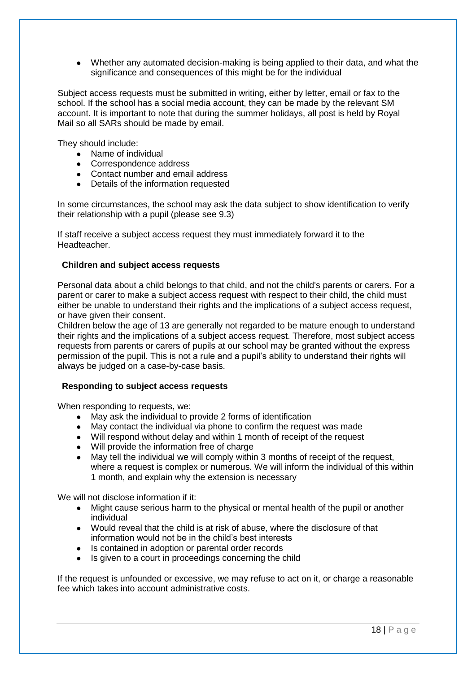• Whether any automated decision-making is being applied to their data, and what the significance and consequences of this might be for the individual

Subject access requests must be submitted in writing, either by letter, email or fax to the school. If the school has a social media account, they can be made by the relevant SM account. It is important to note that during the summer holidays, all post is held by Royal Mail so all SARs should be made by email.

They should include:

- Name of individual
- Correspondence address
- Contact number and email address
- Details of the information requested

In some circumstances, the school may ask the data subject to show identification to verify their relationship with a pupil (please see 9.3)

If staff receive a subject access request they must immediately forward it to the Headteacher.

#### **Children and subject access requests**

Personal data about a child belongs to that child, and not the child's parents or carers. For a parent or carer to make a subject access request with respect to their child, the child must either be unable to understand their rights and the implications of a subject access request, or have given their consent.

Children below the age of 13 are generally not regarded to be mature enough to understand their rights and the implications of a subject access request. Therefore, most subject access requests from parents or carers of pupils at our school may be granted without the express permission of the pupil. This is not a rule and a pupil's ability to understand their rights will always be judged on a case-by-case basis.

#### **Responding to subject access requests**

When responding to requests, we:

- May ask the individual to provide 2 forms of identification
- May contact the individual via phone to confirm the request was made
- Will respond without delay and within 1 month of receipt of the request
- Will provide the information free of charge
- May tell the individual we will comply within 3 months of receipt of the request, where a request is complex or numerous. We will inform the individual of this within 1 month, and explain why the extension is necessary

We will not disclose information if it:

- Might cause serious harm to the physical or mental health of the pupil or another individual
- Would reveal that the child is at risk of abuse, where the disclosure of that information would not be in the child's best interests
- Is contained in adoption or parental order records
- Is given to a court in proceedings concerning the child

If the request is unfounded or excessive, we may refuse to act on it, or charge a reasonable fee which takes into account administrative costs.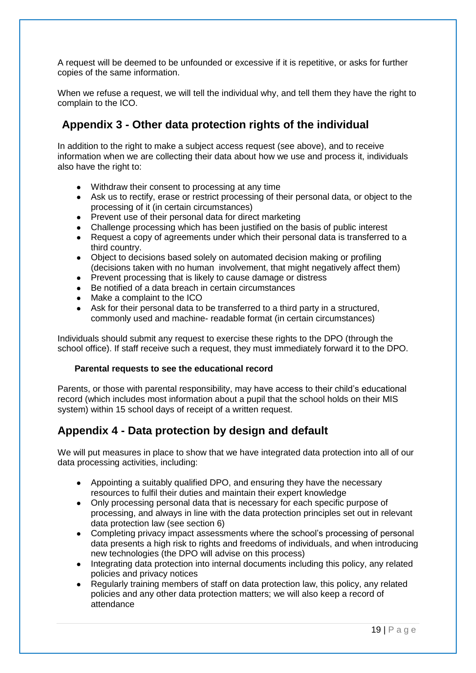A request will be deemed to be unfounded or excessive if it is repetitive, or asks for further copies of the same information.

When we refuse a request, we will tell the individual why, and tell them they have the right to complain to the ICO.

# **Appendix 3 - Other data protection rights of the individual**

In addition to the right to make a subject access request (see above), and to receive information when we are collecting their data about how we use and process it, individuals also have the right to:

- Withdraw their consent to processing at any time
- Ask us to rectify, erase or restrict processing of their personal data, or object to the processing of it (in certain circumstances)
- Prevent use of their personal data for direct marketing
- Challenge processing which has been justified on the basis of public interest
- Request a copy of agreements under which their personal data is transferred to a third country.
- Object to decisions based solely on automated decision making or profiling (decisions taken with no human involvement, that might negatively affect them)
- Prevent processing that is likely to cause damage or distress
- Be notified of a data breach in certain circumstances
- Make a complaint to the ICO
- Ask for their personal data to be transferred to a third party in a structured, commonly used and machine- readable format (in certain circumstances)

Individuals should submit any request to exercise these rights to the DPO (through the school office). If staff receive such a request, they must immediately forward it to the DPO.

#### **Parental requests to see the educational record**

Parents, or those with parental responsibility, may have access to their child's educational record (which includes most information about a pupil that the school holds on their MIS system) within 15 school days of receipt of a written request.

## **Appendix 4 - Data protection by design and default**

We will put measures in place to show that we have integrated data protection into all of our data processing activities, including:

- Appointing a suitably qualified DPO, and ensuring they have the necessary resources to fulfil their duties and maintain their expert knowledge
- Only processing personal data that is necessary for each specific purpose of processing, and always in line with the data protection principles set out in relevant data protection law (see section 6)
- Completing privacy impact assessments where the school's processing of personal data presents a high risk to rights and freedoms of individuals, and when introducing new technologies (the DPO will advise on this process)
- Integrating data protection into internal documents including this policy, any related policies and privacy notices
- Regularly training members of staff on data protection law, this policy, any related policies and any other data protection matters; we will also keep a record of attendance